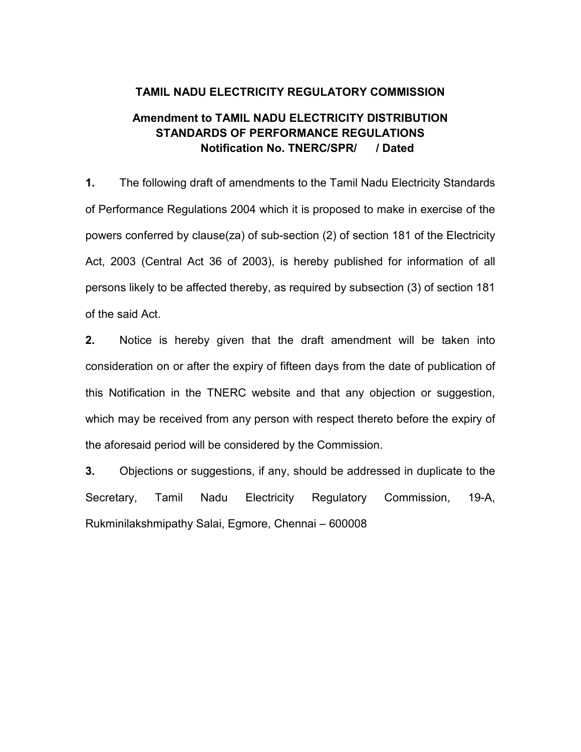#### TAMIL NADU ELECTRICITY REGULATORY COMMISSION

## Amendment to TAMIL NADU ELECTRICITY DISTRIBUTION STANDARDS OF PERFORMANCE REGULATIONS Notification No. TNERC/SPR/ / Dated

1. The following draft of amendments to the Tamil Nadu Electricity Standards of Performance Regulations 2004 which it is proposed to make in exercise of the powers conferred by clause(za) of sub-section (2) of section 181 of the Electricity Act, 2003 (Central Act 36 of 2003), is hereby published for information of all persons likely to be affected thereby, as required by subsection (3) of section 181 of the said Act.

2. Notice is hereby given that the draft amendment will be taken into consideration on or after the expiry of fifteen days from the date of publication of this Notification in the TNERC website and that any objection or suggestion, which may be received from any person with respect thereto before the expiry of the aforesaid period will be considered by the Commission.

3. Objections or suggestions, if any, should be addressed in duplicate to the Secretary, Tamil Nadu Electricity Regulatory Commission, 19-A, Rukminilakshmipathy Salai, Egmore, Chennai – 600008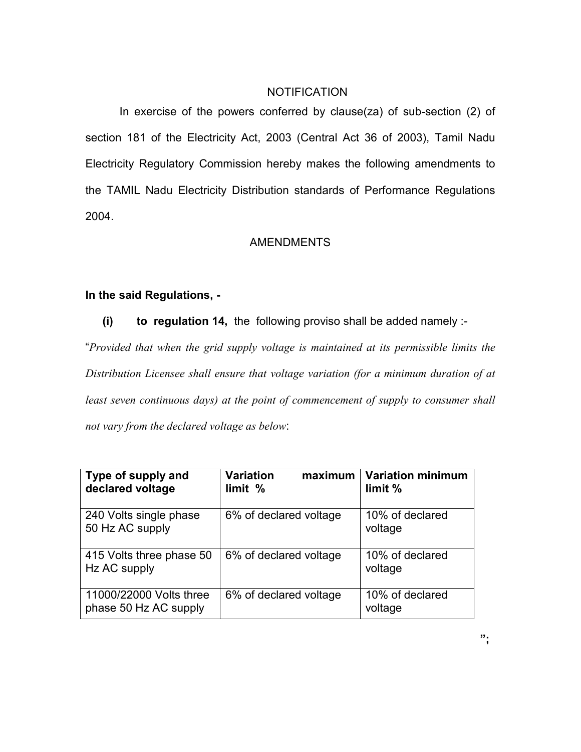#### **NOTIFICATION**

In exercise of the powers conferred by clause(za) of sub-section (2) of section 181 of the Electricity Act, 2003 (Central Act 36 of 2003), Tamil Nadu Electricity Regulatory Commission hereby makes the following amendments to the TAMIL Nadu Electricity Distribution standards of Performance Regulations 2004.

#### AMENDMENTS

#### In the said Regulations, -

(i) to regulation 14, the following proviso shall be added namely :-

"Provided that when the grid supply voltage is maintained at its permissible limits the Distribution Licensee shall ensure that voltage variation (for a minimum duration of at least seven continuous days) at the point of commencement of supply to consumer shall not vary from the declared voltage as below:

| Type of supply and<br>declared voltage           | Variation<br>maximum<br>limit % | <b>Variation minimum</b><br>limit % |
|--------------------------------------------------|---------------------------------|-------------------------------------|
| 240 Volts single phase<br>50 Hz AC supply        | 6% of declared voltage          | 10% of declared<br>voltage          |
| 415 Volts three phase 50<br>Hz AC supply         | 6% of declared voltage          | 10% of declared<br>voltage          |
| 11000/22000 Volts three<br>phase 50 Hz AC supply | 6% of declared voltage          | 10% of declared<br>voltage          |